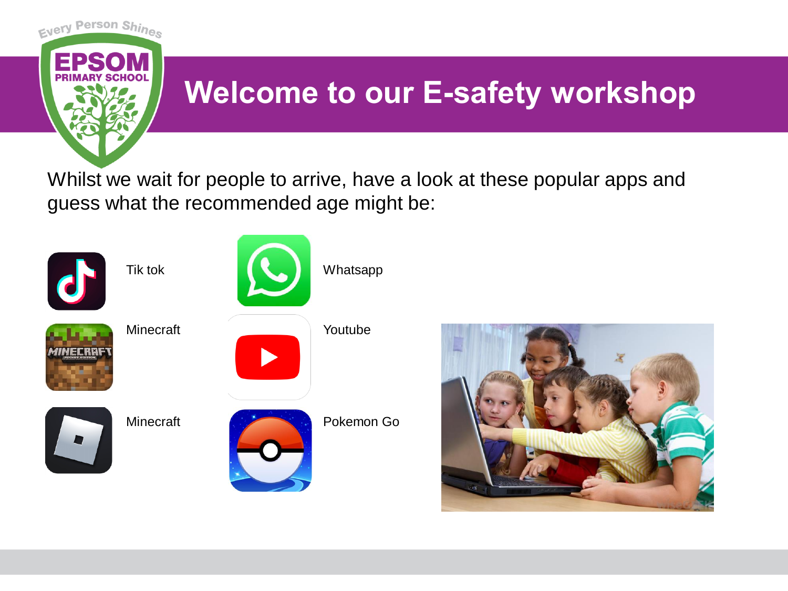

## **Welcome to our E-safety workshop**

Whilst we wait for people to arrive, have a look at these popular apps and guess what the recommended age might be:



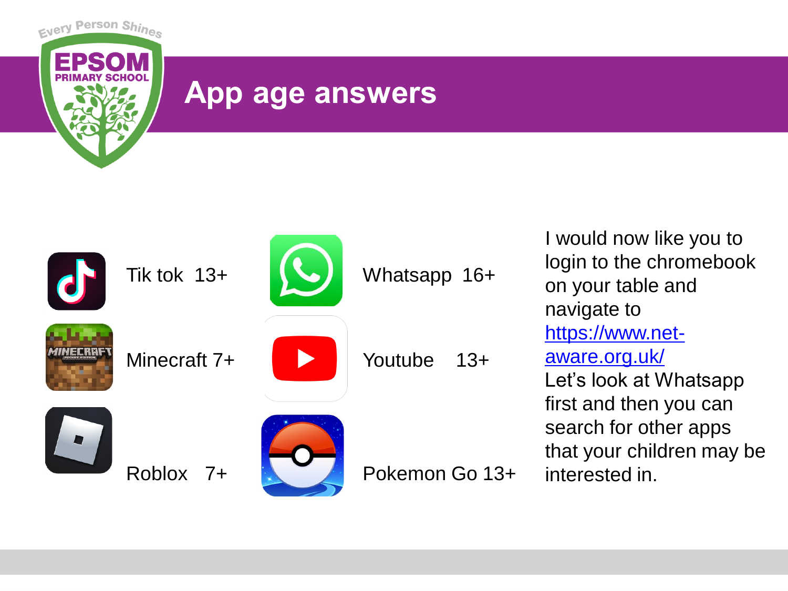

### **App age answers**



I would now like you to login to the chromebook on your table and navigate to [https://www.net](https://www.net-aware.org.uk/)aware.org.uk/ Let's look at Whatsapp first and then you can search for other apps that your children may be interested in.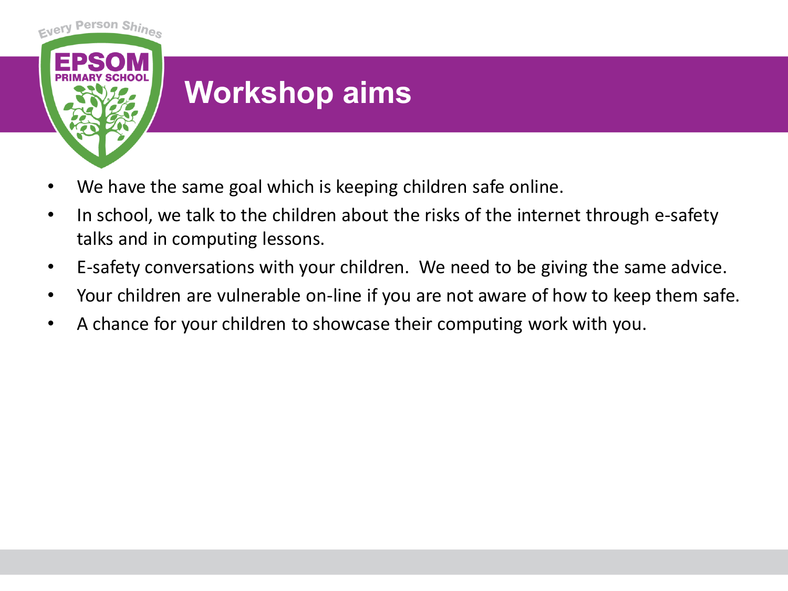

## **Workshop aims**

- We have the same goal which is keeping children safe online.
- In school, we talk to the children about the risks of the internet through e-safety talks and in computing lessons.
- E-safety conversations with your children. We need to be giving the same advice.
- Your children are vulnerable on-line if you are not aware of how to keep them safe.
- A chance for your children to showcase their computing work with you.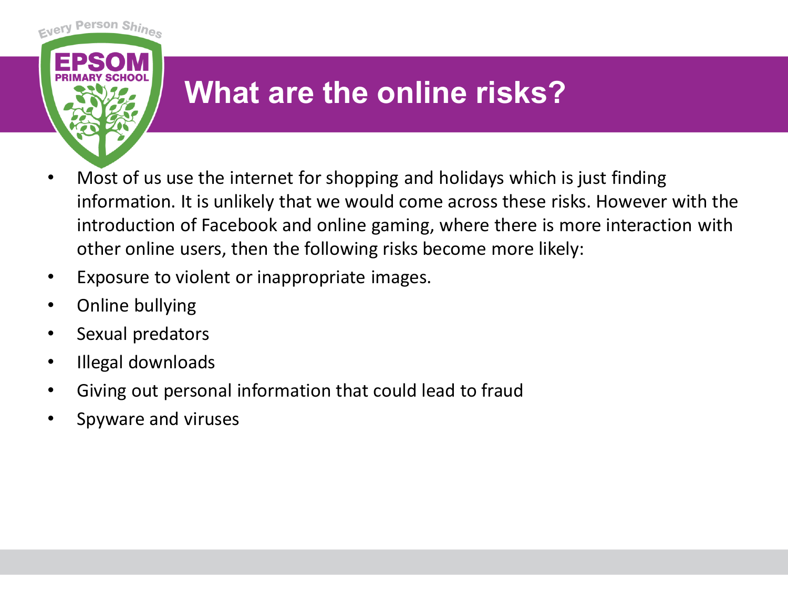

## **What are the online risks?**

- Most of us use the internet for shopping and holidays which is just finding information. It is unlikely that we would come across these risks. However with the introduction of Facebook and online gaming, where there is more interaction with other online users, then the following risks become more likely:
- Exposure to violent or inappropriate images.
- Online bullying
- Sexual predators
- Illegal downloads
- Giving out personal information that could lead to fraud
- Spyware and viruses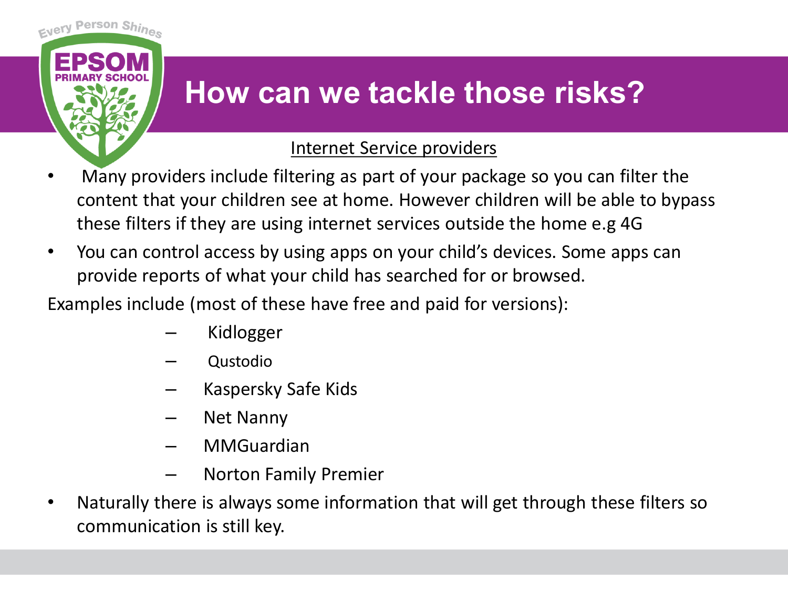

## **How can we tackle those risks?**

#### Internet Service providers

- Many providers include filtering as part of your package so you can filter the content that your children see at home. However children will be able to bypass these filters if they are using internet services outside the home e.g 4G
- You can control access by using apps on your child's devices. Some apps can provide reports of what your child has searched for or browsed.

Examples include (most of these have free and paid for versions):

- Kidlogger
- Qustodio
- Kaspersky Safe Kids
- Net Nanny
- MMGuardian
- Norton Family Premier
- Naturally there is always some information that will get through these filters so communication is still key.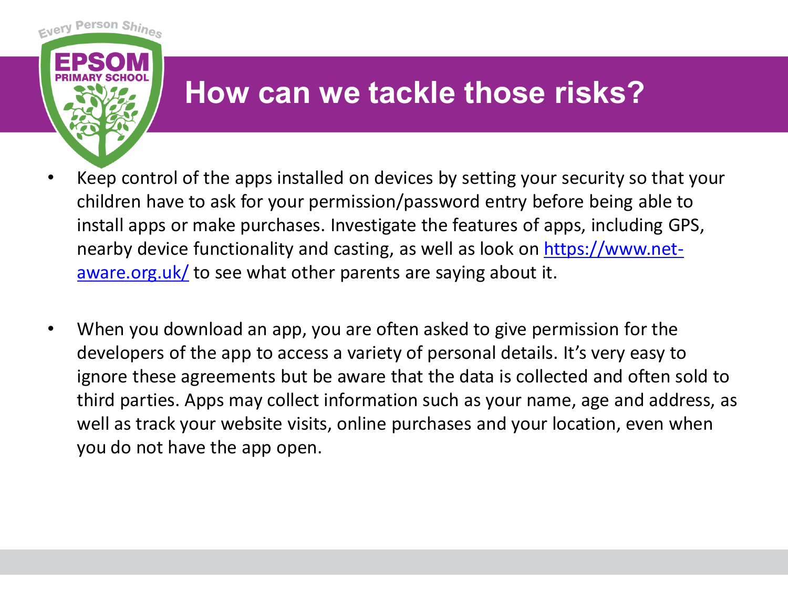

### **How can we tackle those risks?**

- Keep control of the apps installed on devices by setting your security so that your children have to ask for your permission/password entry before being able to install apps or make purchases. Investigate the features of apps, including GPS, [nearby device functionality and casting, as well as look on https://www.net](https://www.net-aware.org.uk/)aware.org.uk/ to see what other parents are saying about it.
- When you download an app, you are often asked to give permission for the developers of the app to access a variety of personal details. It's very easy to ignore these agreements but be aware that the data is collected and often sold to third parties. Apps may collect information such as your name, age and address, as well as track your website visits, online purchases and your location, even when you do not have the app open.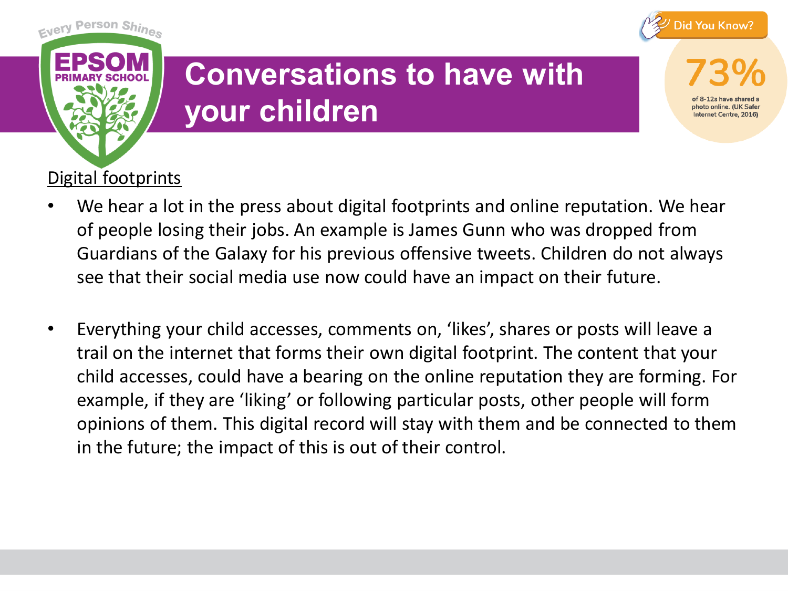

**Internet Centre, 2016** 



## **Conversations to have with your children**

#### Digital footprints

- We hear a lot in the press about digital footprints and online reputation. We hear of people losing their jobs. An example is James Gunn who was dropped from Guardians of the Galaxy for his previous offensive tweets. Children do not always see that their social media use now could have an impact on their future.
- Everything your child accesses, comments on, 'likes', shares or posts will leave a trail on the internet that forms their own digital footprint. The content that your child accesses, could have a bearing on the online reputation they are forming. For example, if they are 'liking' or following particular posts, other people will form opinions of them. This digital record will stay with them and be connected to them in the future; the impact of this is out of their control.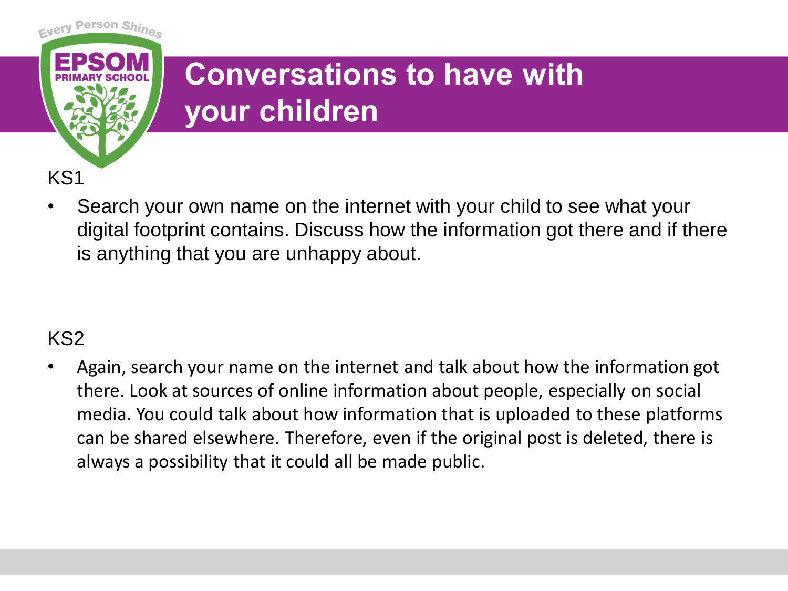

# **Conversations to have with your children**

• Search your own name on the internet with your child to see what your digital footprint contains. Discuss how the information got there and if there is anything that you are unhappy about.

#### KS2

• Again, search your name on the internet and talk about how the information got there. Look at sources of online information about people, especially on social media. You could talk about how information that is uploaded to these platforms can be shared elsewhere. Therefore, even if the original post is deleted, there is always a possibility that it could all be made public.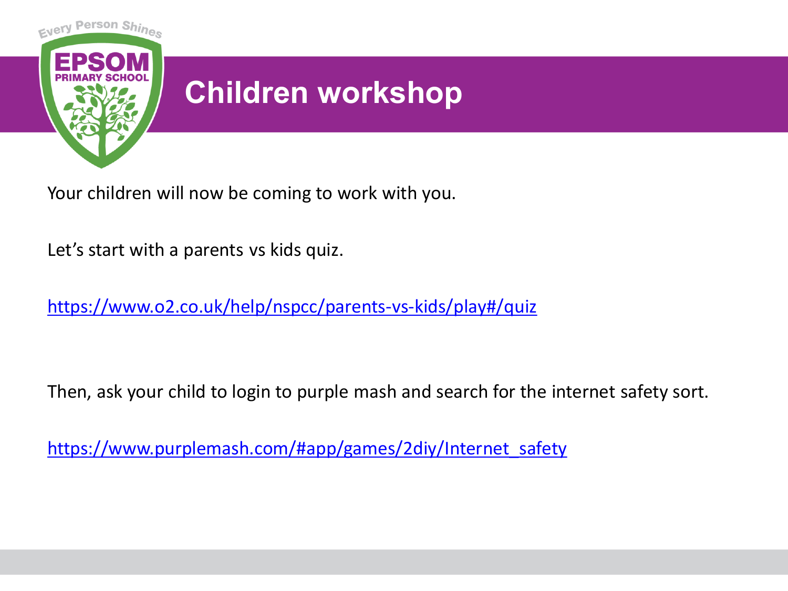

Your children will now be coming to work with you.

Let's start with a parents vs kids quiz.

<https://www.o2.co.uk/help/nspcc/parents-vs-kids/play#/quiz>

Then, ask your child to login to purple mash and search for the internet safety sort.

[https://www.purplemash.com/#app/games/2diy/Internet\\_safety](https://www.purplemash.com/#app/games/2diy/Internet_safety)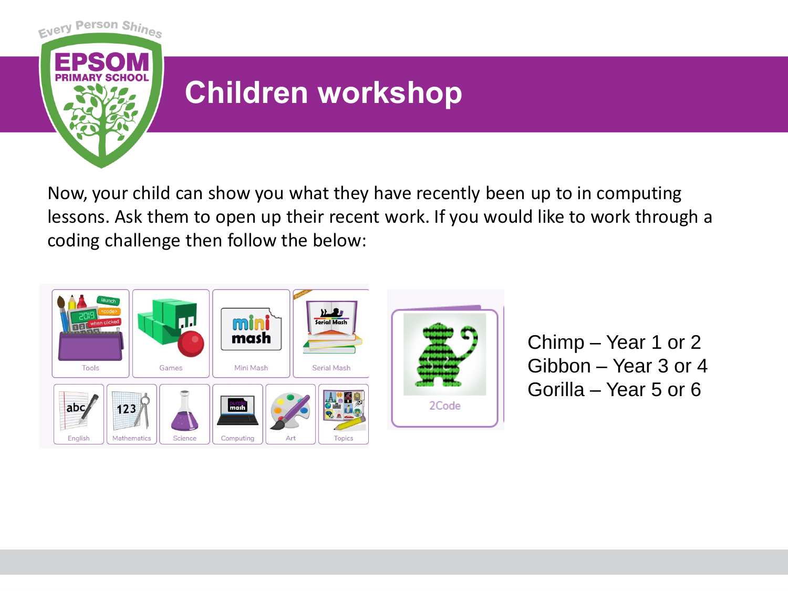

## **Children workshop**

Now, your child can show you what they have recently been up to in computing lessons. Ask them to open up their recent work. If you would like to work through a coding challenge then follow the below:



Chimp – Year 1 or 2 Gibbon – Year 3 or 4 Gorilla – Year 5 or 6